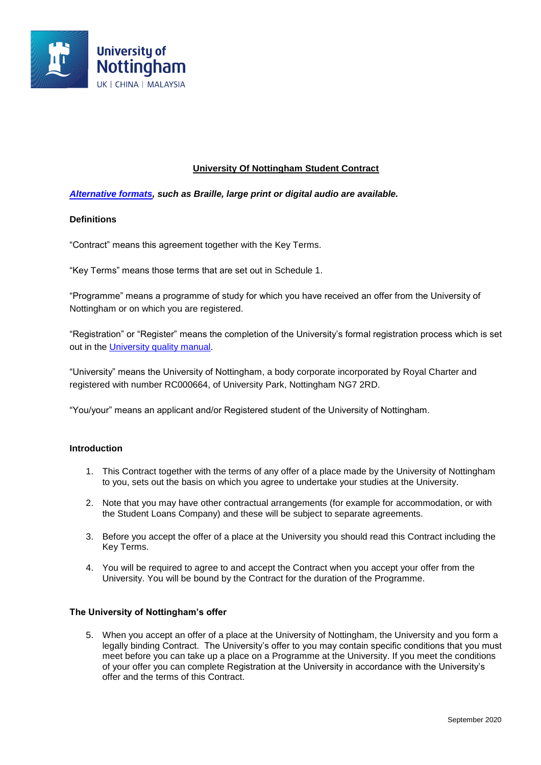

## **University Of Nottingham Student Contract**

### *[Alternative formats,](https://bit.ly/2mn3oK8) such as Braille, large print or digital audio are available.*

### **Definitions**

"Contract" means this agreement together with the Key Terms.

"Key Terms" means those terms that are set out in Schedule 1.

"Programme" means a programme of study for which you have received an offer from the University of Nottingham or on which you are registered.

"Registration" or "Register" means the completion of the University's formal registration process which is set out in the University [quality manual.](https://bit.ly/2kUjF96)

"University" means the University of Nottingham, a body corporate incorporated by Royal Charter and registered with number RC000664, of University Park, Nottingham NG7 2RD.

"You/your" means an applicant and/or Registered student of the University of Nottingham.

#### **Introduction**

- 1. This Contract together with the terms of any offer of a place made by the University of Nottingham to you, sets out the basis on which you agree to undertake your studies at the University.
- 2. Note that you may have other contractual arrangements (for example for accommodation, or with the Student Loans Company) and these will be subject to separate agreements.
- 3. Before you accept the offer of a place at the University you should read this Contract including the Key Terms.
- 4. You will be required to agree to and accept the Contract when you accept your offer from the University. You will be bound by the Contract for the duration of the Programme.

#### **The University of Nottingham's offer**

5. When you accept an offer of a place at the University of Nottingham, the University and you form a legally binding Contract. The University's offer to you may contain specific conditions that you must meet before you can take up a place on a Programme at the University. If you meet the conditions of your offer you can complete Registration at the University in accordance with the University's offer and the terms of this Contract.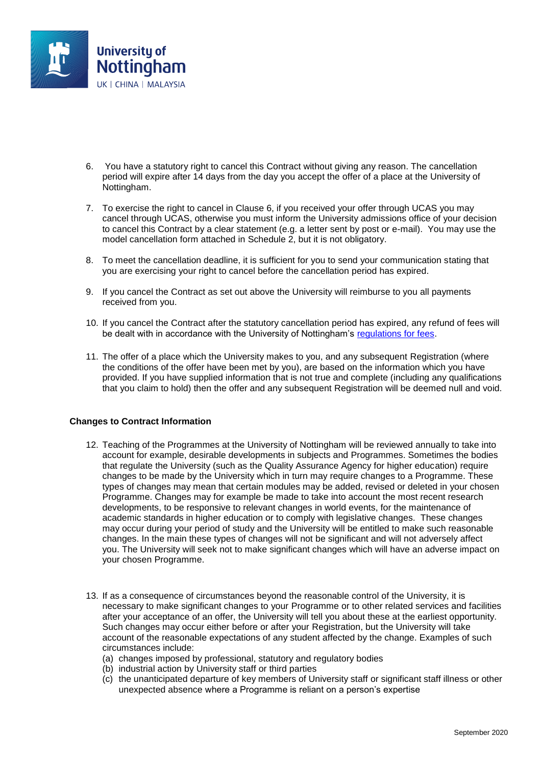

- 6. You have a statutory right to cancel this Contract without giving any reason. The cancellation period will expire after 14 days from the day you accept the offer of a place at the University of Nottingham.
- 7. To exercise the right to cancel in Clause 6, if you received your offer through UCAS you may cancel through UCAS, otherwise you must inform the University admissions office of your decision to cancel this Contract by a clear statement (e.g. a letter sent by post or e-mail). You may use the model cancellation form attached in Schedule 2, but it is not obligatory.
- 8. To meet the cancellation deadline, it is sufficient for you to send your communication stating that you are exercising your right to cancel before the cancellation period has expired.
- 9. If you cancel the Contract as set out above the University will reimburse to you all payments received from you.
- 10. If you cancel the Contract after the statutory cancellation period has expired, any refund of fees will be dealt with in accordance with the University of Nottingham's [regulations for fees.](https://bit.ly/2lYIOQg)
- 11. The offer of a place which the University makes to you, and any subsequent Registration (where the conditions of the offer have been met by you), are based on the information which you have provided. If you have supplied information that is not true and complete (including any qualifications that you claim to hold) then the offer and any subsequent Registration will be deemed null and void.

### **Changes to Contract Information**

- 12. Teaching of the Programmes at the University of Nottingham will be reviewed annually to take into account for example, desirable developments in subjects and Programmes. Sometimes the bodies that regulate the University (such as the Quality Assurance Agency for higher education) require changes to be made by the University which in turn may require changes to a Programme. These types of changes may mean that certain modules may be added, revised or deleted in your chosen Programme. Changes may for example be made to take into account the most recent research developments, to be responsive to relevant changes in world events, for the maintenance of academic standards in higher education or to comply with legislative changes. These changes may occur during your period of study and the University will be entitled to make such reasonable changes. In the main these types of changes will not be significant and will not adversely affect you. The University will seek not to make significant changes which will have an adverse impact on your chosen Programme.
- 13. If as a consequence of circumstances beyond the reasonable control of the University, it is necessary to make significant changes to your Programme or to other related services and facilities after your acceptance of an offer, the University will tell you about these at the earliest opportunity. Such changes may occur either before or after your Registration, but the University will take account of the reasonable expectations of any student affected by the change. Examples of such circumstances include:
	- (a) changes imposed by professional, statutory and regulatory bodies
	- (b) industrial action by University staff or third parties
	- (c) the unanticipated departure of key members of University staff or significant staff illness or other unexpected absence where a Programme is reliant on a person's expertise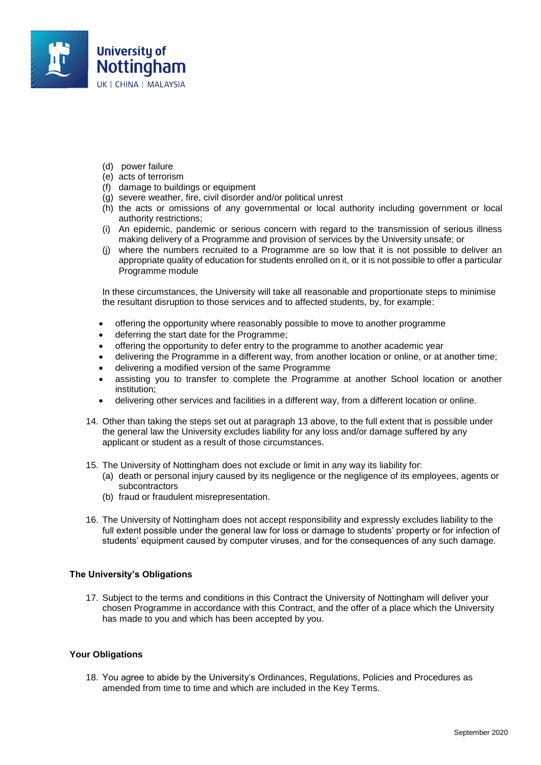

- (d) power failure
- (e) acts of terrorism
- (f) damage to buildings or equipment
- (g) severe weather, fire, civil disorder and/or political unrest
- (h) the acts or omissions of any governmental or local authority including government or local authority restrictions;
- (i) An epidemic, pandemic or serious concern with regard to the transmission of serious illness making delivery of a Programme and provision of services by the University unsafe; or
- (j) where the numbers recruited to a Programme are so low that it is not possible to deliver an appropriate quality of education for students enrolled on it, or it is not possible to offer a particular Programme module

In these circumstances, the University will take all reasonable and proportionate steps to minimise the resultant disruption to those services and to affected students, by, for example:

- offering the opportunity where reasonably possible to move to another programme
- deferring the start date for the Programme;
- offering the opportunity to defer entry to the programme to another academic year
- delivering the Programme in a different way, from another location or online, or at another time;
- delivering a modified version of the same Programme
- assisting you to transfer to complete the Programme at another School location or another institution;
- delivering other services and facilities in a different way, from a different location or online.
- 14. Other than taking the steps set out at paragraph 13 above, to the full extent that is possible under the general law the University excludes liability for any loss and/or damage suffered by any applicant or student as a result of those circumstances.
- 15. The University of Nottingham does not exclude or limit in any way its liability for:
	- (a) death or personal injury caused by its negligence or the negligence of its employees, agents or subcontractors
	- (b) fraud or fraudulent misrepresentation.
- 16. The University of Nottingham does not accept responsibility and expressly excludes liability to the full extent possible under the general law for loss or damage to students' property or for infection of students' equipment caused by computer viruses, and for the consequences of any such damage.

### **The University's Obligations**

17. Subject to the terms and conditions in this Contract the University of Nottingham will deliver your chosen Programme in accordance with this Contract, and the offer of a place which the University has made to you and which has been accepted by you.

### **Your Obligations**

18. You agree to abide by the University's Ordinances, Regulations, Policies and Procedures as amended from time to time and which are included in the Key Terms.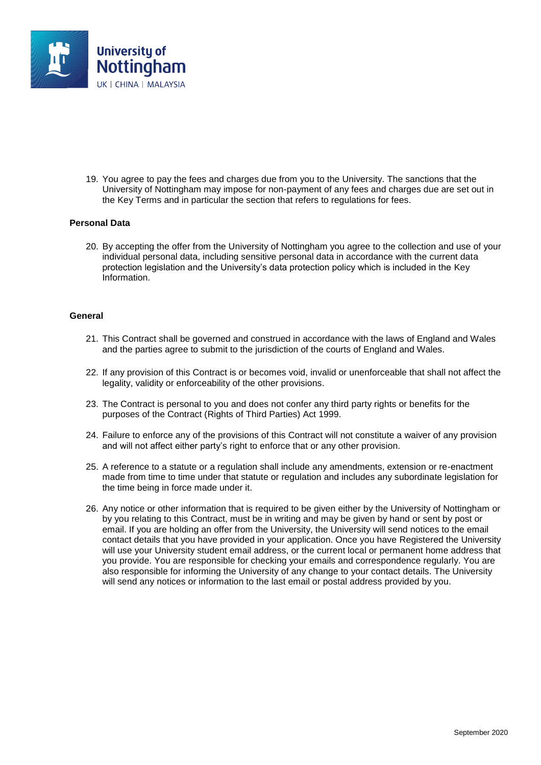

19. You agree to pay the fees and charges due from you to the University. The sanctions that the University of Nottingham may impose for non-payment of any fees and charges due are set out in the Key Terms and in particular the section that refers to regulations for fees.

#### **Personal Data**

20. By accepting the offer from the University of Nottingham you agree to the collection and use of your individual personal data, including sensitive personal data in accordance with the current data protection legislation and the University's data protection policy which is included in the Key Information.

#### **General**

- 21. This Contract shall be governed and construed in accordance with the laws of England and Wales and the parties agree to submit to the jurisdiction of the courts of England and Wales.
- 22. If any provision of this Contract is or becomes void, invalid or unenforceable that shall not affect the legality, validity or enforceability of the other provisions.
- 23. The Contract is personal to you and does not confer any third party rights or benefits for the purposes of the Contract (Rights of Third Parties) Act 1999.
- 24. Failure to enforce any of the provisions of this Contract will not constitute a waiver of any provision and will not affect either party's right to enforce that or any other provision.
- 25. A reference to a statute or a regulation shall include any amendments, extension or re-enactment made from time to time under that statute or regulation and includes any subordinate legislation for the time being in force made under it.
- 26. Any notice or other information that is required to be given either by the University of Nottingham or by you relating to this Contract, must be in writing and may be given by hand or sent by post or email. If you are holding an offer from the University, the University will send notices to the email contact details that you have provided in your application. Once you have Registered the University will use your University student email address, or the current local or permanent home address that you provide. You are responsible for checking your emails and correspondence regularly. You are also responsible for informing the University of any change to your contact details. The University will send any notices or information to the last email or postal address provided by you.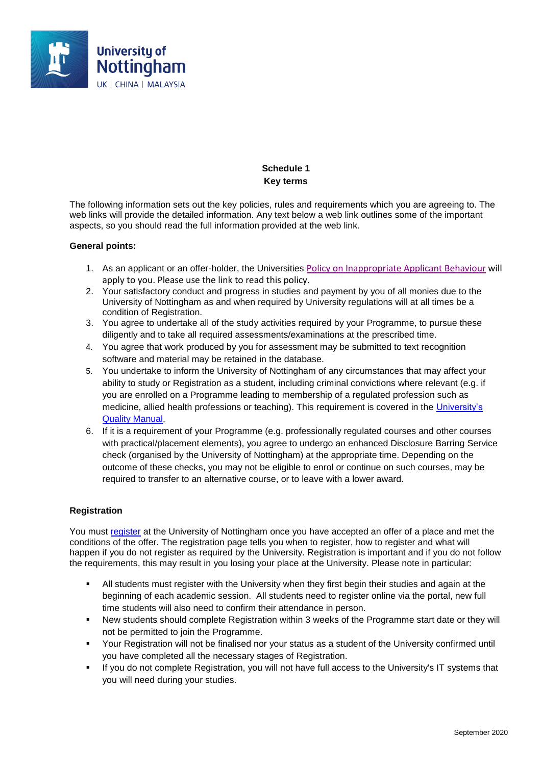

# **Schedule 1 Key terms**

The following information sets out the key policies, rules and requirements which you are agreeing to. The web links will provide the detailed information. Any text below a web link outlines some of the important aspects, so you should read the full information provided at the web link.

### **General points:**

- 1. As an applicant or an offer-holder, the Universities [Policy on Inappropriate Applicant Behaviour](https://www.nottingham.ac.uk/qualitymanual/admissions/pol-inappropriate-applicant-behaviour.aspx) will apply to you. Please use the link to read this policy.
- 2. Your satisfactory conduct and progress in studies and payment by you of all monies due to the University of Nottingham as and when required by University regulations will at all times be a condition of Registration.
- 3. You agree to undertake all of the study activities required by your Programme, to pursue these diligently and to take all required assessments/examinations at the prescribed time.
- 4. You agree that work produced by you for assessment may be submitted to text recognition software and material may be retained in the database.
- 5. You undertake to inform the University of Nottingham of any circumstances that may affect your ability to study or Registration as a student, including criminal convictions where relevant (e.g. if you are enrolled on a Programme leading to membership of a regulated profession such as medicine, allied health professions or teaching). This requirement is covered in the [University's](https://bit.ly/2mlTh8l)  [Quality Manual.](https://bit.ly/2mlTh8l)
- 6. If it is a requirement of your Programme (e.g. professionally regulated courses and other courses with practical/placement elements), you agree to undergo an enhanced Disclosure Barring Service check (organised by the University of Nottingham) at the appropriate time. Depending on the outcome of these checks, you may not be eligible to enrol or continue on such courses, may be required to transfer to an alternative course, or to leave with a lower award.

#### **Registration**

You must [register](https://bit.ly/2mqvhB9) at the University of Nottingham once you have accepted an offer of a place and met the conditions of the offer. The registration page tells you when to register, how to register and what will happen if you do not register as required by the University. Registration is important and if you do not follow the requirements, this may result in you losing your place at the University. Please note in particular:

- All students must register with the University when they first begin their studies and again at the beginning of each academic session. All students need to register online via the portal, new full time students will also need to confirm their attendance in person.
- New students should complete Registration within 3 weeks of the Programme start date or they will not be permitted to join the Programme.
- Your Registration will not be finalised nor your status as a student of the University confirmed until you have completed all the necessary stages of Registration.
- If you do not complete Registration, you will not have full access to the University's IT systems that you will need during your studies.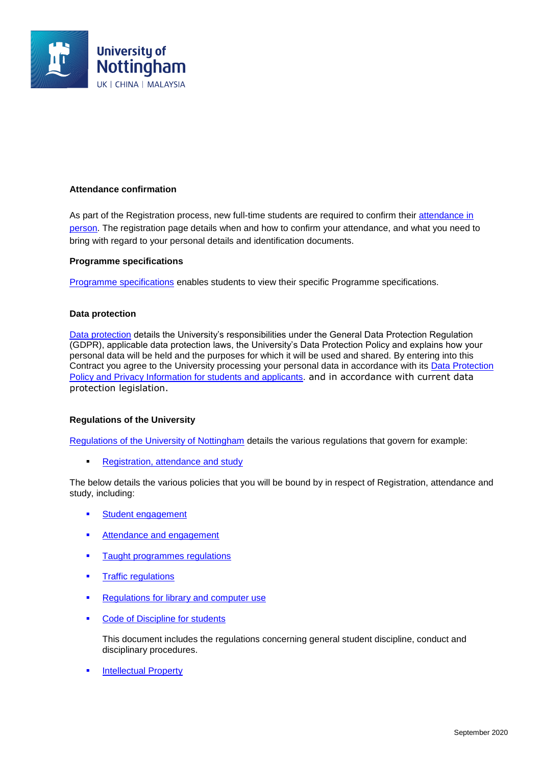

### **Attendance confirmation**

As part of the Registration process, new full-time students are required to confirm their [attendance in](https://bit.ly/2mqvhB9)  [person.](https://bit.ly/2mqvhB9) The registration page details when and how to confirm your attendance, and what you need to bring with regard to your personal details and identification documents.

#### **Programme specifications**

[Programme specifications](https://bit.ly/2mjwpGy) enables students to view their specific Programme specifications.

### **Data protection**

[Data protection](https://bit.ly/2mqvJzl) details the University's responsibilities under the General Data Protection Regulation (GDPR), applicable data protection laws, the University's Data Protection Policy and explains how your personal data will be held and the purposes for which it will be used and shared. By entering into this Contract you agree to the University processing your personal data in accordance with its Data Protection [Policy and Privacy Information for students and applicants.](https://bit.ly/2kKgQYi) and in accordance with current data protection legislation.

### **Regulations of the University**

[Regulations of the University of Nottingham](https://bit.ly/2mn3Bgo) details the various regulations that govern for example:

[Registration, attendance and study](https://bit.ly/2lYJcOI)

The below details the various policies that you will be bound by in respect of Registration, attendance and study, including:

- **[Student engagement](https://bit.ly/2mjwHNE)**
- **[Attendance and engagement](https://bit.ly/2moKO4l)**
- [Taught programmes regulations](https://bit.ly/2kUjZEQ)
- [Traffic regulations](https://bit.ly/2mn3Bgo)
- **[Regulations for library and computer use](https://bit.ly/2lYJEMU)**
- **[Code of Discipline for students](https://bit.ly/2mn46XO)**

This document includes the regulations concerning general student discipline, conduct and disciplinary procedures.

[Intellectual Property](https://bit.ly/2m4gqvS)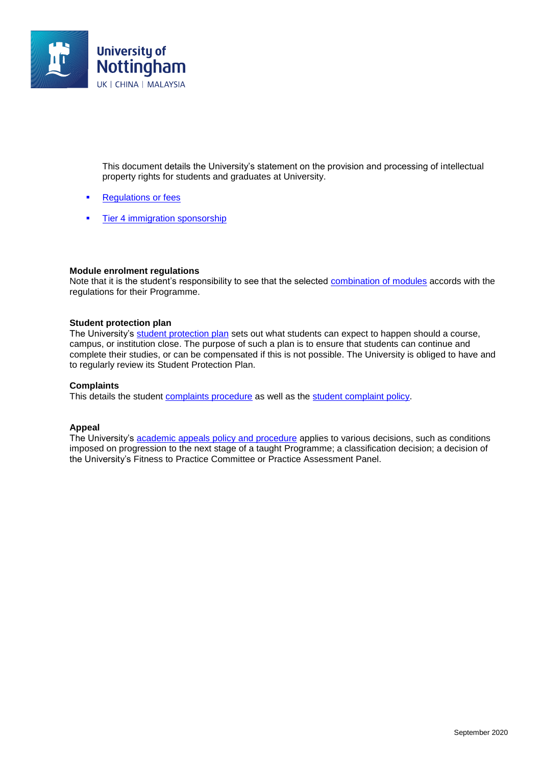

This document details the University's statement on the provision and processing of intellectual property rights for students and graduates at University.

- [Regulations or fees](https://bit.ly/2lYIOQg)
- [Tier 4 immigration sponsorship](http://www.nottingham.ac.uk/studywithus/international-applicants/visa-help/visas/limitations-on-tier-4-immigration-sponsorship.aspx)

#### **Module enrolment regulations**

Note that it is the student's responsibility to see that the selected [combination of modules](https://bit.ly/2kuwWFe) accords with the regulations for their Programme.

#### **Student protection plan**

The University's [student protection plan](https://www.nottingham.ac.uk/studentservices/documents/student-protection-plan-2019-final.pdf) sets out what students can expect to happen should a course, campus, or institution close. The purpose of such a plan is to ensure that students can continue and complete their studies, or can be compensated if this is not possible. The University is obliged to have and to regularly review its Student Protection Plan.

#### **Complaints**

This details the student [complaints procedure](https://bit.ly/2kWtUJX) as well as the [student complaint policy.](https://bit.ly/2kwxt9K)

#### **Appeal**

The University's [academic appeals policy and procedure](https://bit.ly/2moLlTT) applies to various decisions, such as conditions imposed on progression to the next stage of a taught Programme; a classification decision; a decision of the University's Fitness to Practice Committee or Practice Assessment Panel.